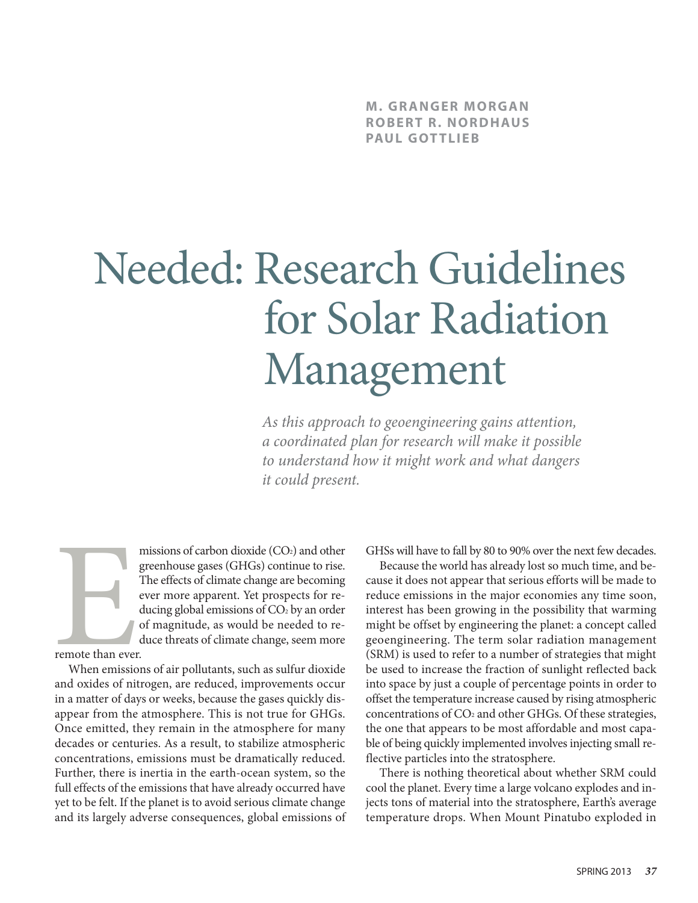# Needed: Research Guidelines for Solar Radiation Management

*As this approach to geoengineering gains attention, a coordinated plan for research will make it possible to understand how it might work and what dangers it could present.* 

missions of carbon dioxide  $(CO<sub>2</sub>)$  and other greenhouse gases (GHGs) continue to rise. The effects of climate change are becoming ever more apparent. Yet prospects for reducing global emissions of  $CO<sub>2</sub>$  by an order of magnitude, as would be needed to reduce threats of climate change, seem more Example 1

remote than ever.

When emissions of air pollutants, such as sulfur dioxide and oxides of nitrogen, are reduced, improvements occur in a matter of days or weeks, because the gases quickly disappear from the atmosphere. This is not true for GHGs. Once emitted, they remain in the atmosphere for many decades or centuries. As a result, to stabilize atmospheric concentrations, emissions must be dramatically reduced. Further, there is inertia in the earth-ocean system, so the full effects of the emissions that have already occurred have yet to be felt. If the planet is to avoid serious climate change and its largely adverse consequences, global emissions of GHSs will have to fall by 80 to 90% over the next few decades.

Because the world has already lost so much time, and because it does not appear that serious efforts will be made to reduce emissions in the major economies any time soon, interest has been growing in the possibility that warming might be offset by engineering the planet: a concept called geoengineering. The term solar radiation management (SRM) is used to refer to a number of strategies that might be used to increase the fraction of sunlight reflected back into space by just a couple of percentage points in order to offset the temperature increase caused by rising atmospheric concentrations of CO<sub>2</sub> and other GHGs. Of these strategies, the one that appears to be most affordable and most capable of being quickly implemented involves injecting small reflective particles into the stratosphere.

There is nothing theoretical about whether SRM could cool the planet. Every time a large volcano explodes and injects tons of material into the stratosphere, Earth's average temperature drops. When Mount Pinatubo exploded in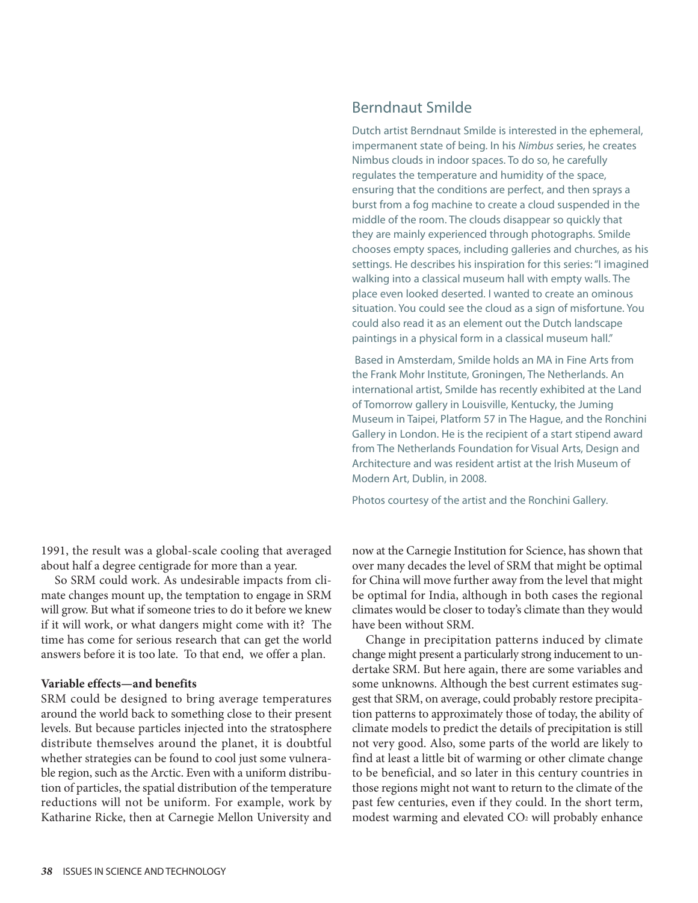### Berndnaut Smilde

Dutch artist Berndnaut Smilde is interested in the ephemeral, impermanent state of being. In his Nimbus series, he creates Nimbus clouds in indoor spaces. To do so, he carefully regulates the temperature and humidity of the space, ensuring that the conditions are perfect, and then sprays a burst from a fog machine to create a cloud suspended in the middle of the room. The clouds disappear so quickly that they are mainly experienced through photographs. Smilde chooses empty spaces, including galleries and churches, as his settings. He describes his inspiration for this series: "I imagined walking into a classical museum hall with empty walls. The place even looked deserted. I wanted to create an ominous situation. You could see the cloud as a sign of misfortune. You could also read it as an element out the Dutch landscape paintings in a physical form in a classical museum hall."

Based in Amsterdam, Smilde holds an MA in Fine Arts from the Frank Mohr Institute, Groningen, The Netherlands. An international artist, Smilde has recently exhibited at the Land of Tomorrow gallery in Louisville, Kentucky, the Juming Museum in Taipei, Platform 57 in The Hague, and the Ronchini Gallery in London. He is the recipient of a start stipend award from The Netherlands Foundation for Visual Arts, Design and Architecture and was resident artist at the Irish Museum of Modern Art, Dublin, in 2008.

Photos courtesy of the artist and the Ronchini Gallery.

1991, the result was a global-scale cooling that averaged about half a degree centigrade for more than a year.

So SRM could work. As undesirable impacts from climate changes mount up, the temptation to engage in SRM will grow. But what if someone tries to do it before we knew if it will work, or what dangers might come with it? The time has come for serious research that can get the world answers before it is too late. To that end, we offer a plan.

#### **Variable effects—and benefits**

SRM could be designed to bring average temperatures around the world back to something close to their present levels. But because particles injected into the stratosphere distribute themselves around the planet, it is doubtful whether strategies can be found to cool just some vulnerable region, such as the Arctic. Even with a uniform distribution of particles, the spatial distribution of the temperature reductions will not be uniform. For example, work by Katharine Ricke, then at Carnegie Mellon University and

now at the Carnegie Institution for Science, has shown that over many decades the level of SRM that might be optimal for China will move further away from the level that might be optimal for India, although in both cases the regional climates would be closer to today's climate than they would have been without SRM.

Change in precipitation patterns induced by climate change might present a particularly strong inducement to undertake SRM. But here again, there are some variables and some unknowns. Although the best current estimates suggest that SRM, on average, could probably restore precipitation patterns to approximately those of today, the ability of climate models to predict the details of precipitation is still not very good. Also, some parts of the world are likely to find at least a little bit of warming or other climate change to be beneficial, and so later in this century countries in those regions might not want to return to the climate of the past few centuries, even if they could. In the short term, modest warming and elevated CO2 will probably enhance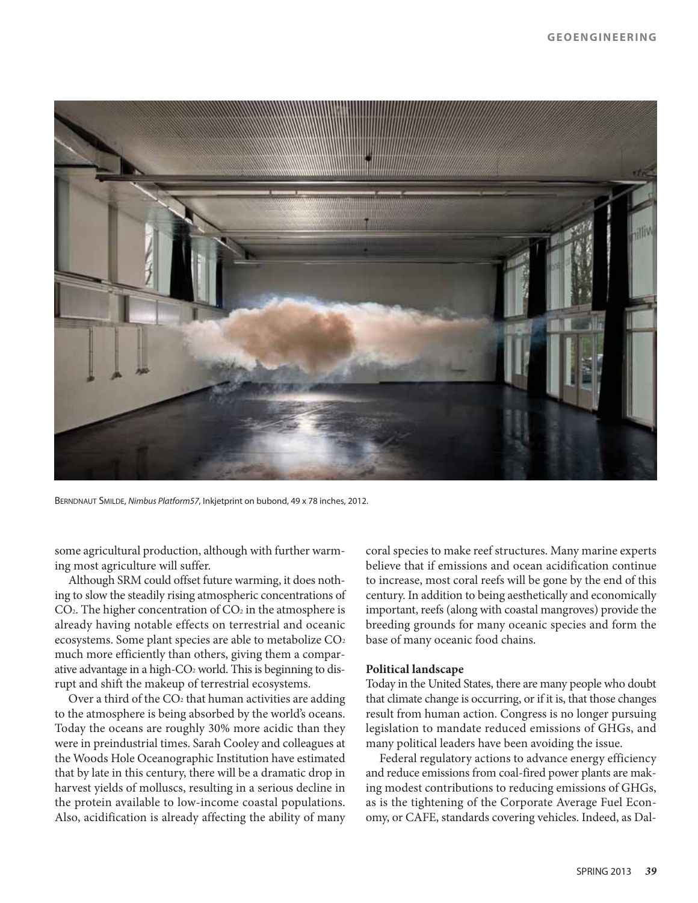

BERNDNAUT SMILDE, Nimbus Platform57, Inkjetprint on bubond, 49 x 78 inches, 2012.

some agricultural production, although with further warming most agriculture will suffer.

Although SRM could offset future warming, it does nothing to slow the steadily rising atmospheric concentrations of  $CO<sub>2</sub>$ . The higher concentration of  $CO<sub>2</sub>$  in the atmosphere is already having notable effects on terrestrial and oceanic ecosystems. Some plant species are able to metabolize CO<sub>2</sub> much more efficiently than others, giving them a comparative advantage in a high-CO<sub>2</sub> world. This is beginning to disrupt and shift the makeup of terrestrial ecosystems.

Over a third of the  $CO<sub>2</sub>$  that human activities are adding to the atmosphere is being absorbed by the world's oceans. Today the oceans are roughly 30% more acidic than they were in preindustrial times. Sarah Cooley and colleagues at the Woods Hole Oceanographic Institution have estimated that by late in this century, there will be a dramatic drop in harvest yields of molluscs, resulting in a serious decline in the protein available to low-income coastal populations. Also, acidification is already affecting the ability of many coral species to make reef structures. Many marine experts believe that if emissions and ocean acidification continue to increase, most coral reefs will be gone by the end of this century. In addition to being aesthetically and economically important, reefs (along with coastal mangroves) provide the breeding grounds for many oceanic species and form the base of many oceanic food chains.

#### **Political landscape**

Today in the United States, there are many people who doubt that climate change is occurring, or if it is, that those changes result from human action. Congress is no longer pursuing legislation to mandate reduced emissions of GHGs, and many political leaders have been avoiding the issue.

Federal regulatory actions to advance energy efficiency and reduce emissions from coal-fired power plants are making modest contributions to reducing emissions of GHGs, as is the tightening of the Corporate Average Fuel Economy, or CAFE, standards covering vehicles. Indeed, as Dal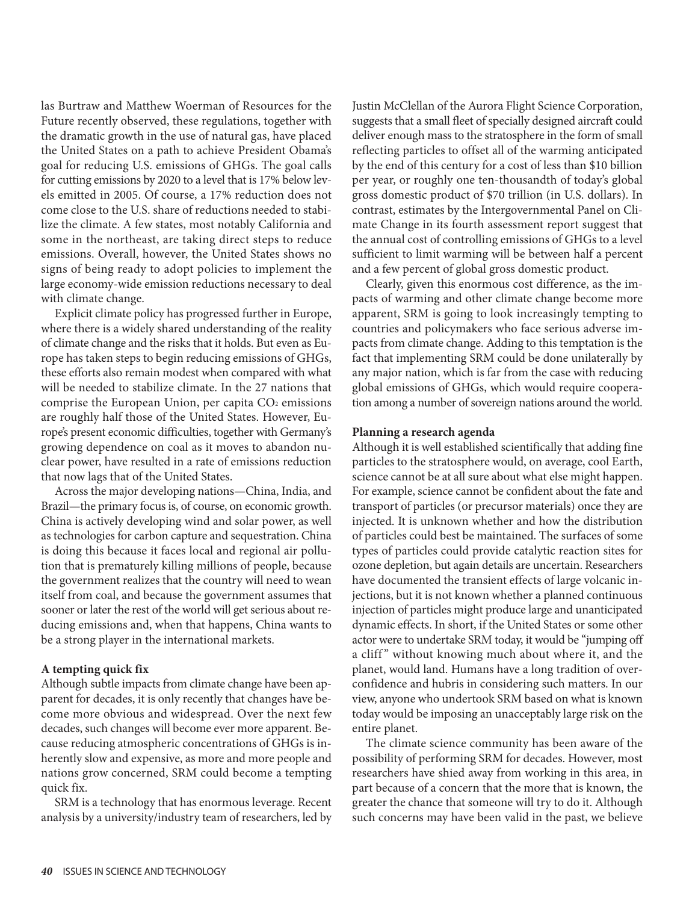las Burtraw and Matthew Woerman of Resources for the Future recently observed, these regulations, together with the dramatic growth in the use of natural gas, have placed the United States on a path to achieve President Obama's goal for reducing U.S. emissions of GHGs. The goal calls for cutting emissions by 2020 to a level that is 17% below levels emitted in 2005. Of course, a 17% reduction does not come close to the U.S. share of reductions needed to stabilize the climate. A few states, most notably California and some in the northeast, are taking direct steps to reduce emissions. Overall, however, the United States shows no signs of being ready to adopt policies to implement the large economy-wide emission reductions necessary to deal with climate change.

Explicit climate policy has progressed further in Europe, where there is a widely shared understanding of the reality of climate change and the risks that it holds. But even as Europe has taken steps to begin reducing emissions of GHGs, these efforts also remain modest when compared with what will be needed to stabilize climate. In the 27 nations that comprise the European Union, per capita  $CO<sub>2</sub>$  emissions are roughly half those of the United States. However, Europe's present economic difficulties, together with Germany's growing dependence on coal as it moves to abandon nuclear power, have resulted in a rate of emissions reduction that now lags that of the United States.

Across the major developing nations—China, India, and Brazil—the primary focus is, of course, on economic growth. China is actively developing wind and solar power, as well as technologies for carbon capture and sequestration. China is doing this because it faces local and regional air pollution that is prematurely killing millions of people, because the government realizes that the country will need to wean itself from coal, and because the government assumes that sooner or later the rest of the world will get serious about reducing emissions and, when that happens, China wants to be a strong player in the international markets.

#### **A tempting quick fix**

Although subtle impacts from climate change have been apparent for decades, it is only recently that changes have become more obvious and widespread. Over the next few decades, such changes will become ever more apparent. Because reducing atmospheric concentrations of GHGs is inherently slow and expensive, as more and more people and nations grow concerned, SRM could become a tempting quick fix.

SRM is a technology that has enormous leverage. Recent analysis by a university/industry team of researchers, led by Justin McClellan of the Aurora Flight Science Corporation, suggests that a small fleet of specially designed aircraft could deliver enough mass to the stratosphere in the form of small reflecting particles to offset all of the warming anticipated by the end of this century for a cost of less than \$10 billion per year, or roughly one ten-thousandth of today's global gross domestic product of \$70 trillion (in U.S. dollars). In contrast, estimates by the Intergovernmental Panel on Climate Change in its fourth assessment report suggest that the annual cost of controlling emissions of GHGs to a level sufficient to limit warming will be between half a percent and a few percent of global gross domestic product.

Clearly, given this enormous cost difference, as the impacts of warming and other climate change become more apparent, SRM is going to look increasingly tempting to countries and policymakers who face serious adverse impacts from climate change. Adding to this temptation is the fact that implementing SRM could be done unilaterally by any major nation, which is far from the case with reducing global emissions of GHGs, which would require cooperation among a number of sovereign nations around the world.

#### **Planning a research agenda**

Although it is well established scientifically that adding fine particles to the stratosphere would, on average, cool Earth, science cannot be at all sure about what else might happen. For example, science cannot be confident about the fate and transport of particles (or precursor materials) once they are injected. It is unknown whether and how the distribution of particles could best be maintained. The surfaces of some types of particles could provide catalytic reaction sites for ozone depletion, but again details are uncertain. Researchers have documented the transient effects of large volcanic injections, but it is not known whether a planned continuous injection of particles might produce large and unanticipated dynamic effects. In short, if the United States or some other actor were to undertake SRM today, it would be "jumping off a cliff" without knowing much about where it, and the planet, would land. Humans have a long tradition of overconfidence and hubris in considering such matters. In our view, anyone who undertook SRM based on what is known today would be imposing an unacceptably large risk on the entire planet.

The climate science community has been aware of the possibility of performing SRM for decades. However, most researchers have shied away from working in this area, in part because of a concern that the more that is known, the greater the chance that someone will try to do it. Although such concerns may have been valid in the past, we believe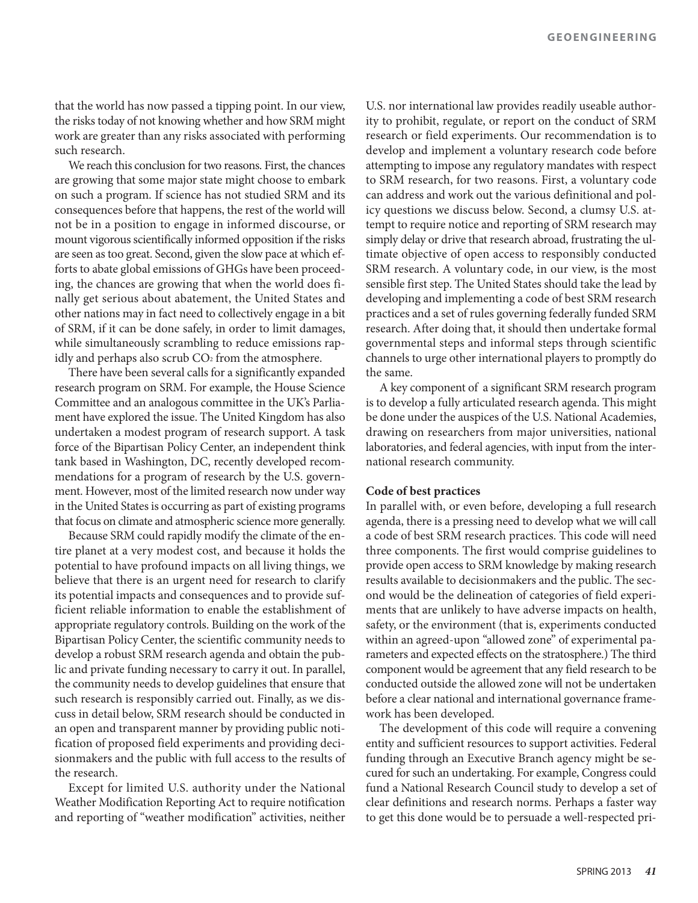that the world has now passed a tipping point. In our view, the risks today of not knowing whether and how SRM might work are greater than any risks associated with performing such research.

We reach this conclusion for two reasons. First, the chances are growing that some major state might choose to embark on such a program. If science has not studied SRM and its consequences before that happens, the rest of the world will not be in a position to engage in informed discourse, or mount vigorous scientifically informed opposition if the risks are seen as too great. Second, given the slow pace at which efforts to abate global emissions of GHGs have been proceeding, the chances are growing that when the world does finally get serious about abatement, the United States and other nations may in fact need to collectively engage in a bit of SRM, if it can be done safely, in order to limit damages, while simultaneously scrambling to reduce emissions rapidly and perhaps also scrub  $CO<sub>2</sub>$  from the atmosphere.

There have been several calls for a significantly expanded research program on SRM. For example, the House Science Committee and an analogous committee in the UK's Parliament have explored the issue. The United Kingdom has also undertaken a modest program of research support. A task force of the Bipartisan Policy Center, an independent think tank based in Washington, DC, recently developed recommendations for a program of research by the U.S. government. However, most of the limited research now under way in the United States is occurring as part of existing programs that focus on climate and atmospheric science more generally.

Because SRM could rapidly modify the climate of the entire planet at a very modest cost, and because it holds the potential to have profound impacts on all living things, we believe that there is an urgent need for research to clarify its potential impacts and consequences and to provide sufficient reliable information to enable the establishment of appropriate regulatory controls. Building on the work of the Bipartisan Policy Center, the scientific community needs to develop a robust SRM research agenda and obtain the public and private funding necessary to carry it out. In parallel, the community needs to develop guidelines that ensure that such research is responsibly carried out. Finally, as we discuss in detail below, SRM research should be conducted in an open and transparent manner by providing public notification of proposed field experiments and providing decisionmakers and the public with full access to the results of the research.

Except for limited U.S. authority under the National Weather Modification Reporting Act to require notification and reporting of "weather modification" activities, neither

U.S. nor international law provides readily useable authority to prohibit, regulate, or report on the conduct of SRM research or field experiments. Our recommendation is to develop and implement a voluntary research code before attempting to impose any regulatory mandates with respect to SRM research, for two reasons. First, a voluntary code can address and work out the various definitional and policy questions we discuss below. Second, a clumsy U.S. attempt to require notice and reporting of SRM research may simply delay or drive that research abroad, frustrating the ultimate objective of open access to responsibly conducted SRM research. A voluntary code, in our view, is the most sensible first step. The United States should take the lead by developing and implementing a code of best SRM research practices and a set of rules governing federally funded SRM research. After doing that, it should then undertake formal governmental steps and informal steps through scientific channels to urge other international players to promptly do the same.

A key component of a significant SRM research program is to develop a fully articulated research agenda. This might be done under the auspices of the U.S. National Academies, drawing on researchers from major universities, national laboratories, and federal agencies, with input from the international research community.

#### **Code of best practices**

In parallel with, or even before, developing a full research agenda, there is a pressing need to develop what we will call a code of best SRM research practices. This code will need three components. The first would comprise guidelines to provide open access to SRM knowledge by making research results available to decisionmakers and the public. The second would be the delineation of categories of field experiments that are unlikely to have adverse impacts on health, safety, or the environment (that is, experiments conducted within an agreed-upon "allowed zone" of experimental parameters and expected effects on the stratosphere.) The third component would be agreement that any field research to be conducted outside the allowed zone will not be undertaken before a clear national and international governance framework has been developed.

The development of this code will require a convening entity and sufficient resources to support activities. Federal funding through an Executive Branch agency might be secured for such an undertaking. For example, Congress could fund a National Research Council study to develop a set of clear definitions and research norms. Perhaps a faster way to get this done would be to persuade a well-respected pri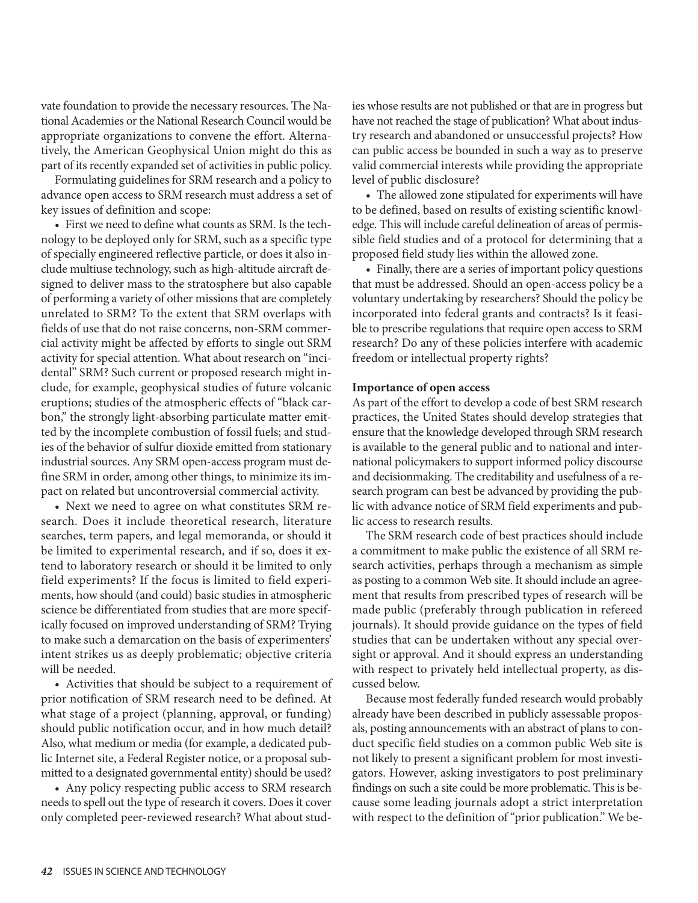vate foundation to provide the necessary resources. The National Academies or the National Research Council would be appropriate organizations to convene the effort. Alternatively, the American Geophysical Union might do this as part of its recently expanded set of activities in public policy.

Formulating guidelines for SRM research and a policy to advance open access to SRM research must address a set of key issues of definition and scope:

• First we need to define what counts as SRM. Is the technology to be deployed only for SRM, such as a specific type of specially engineered reflective particle, or does it also include multiuse technology, such as high-altitude aircraft designed to deliver mass to the stratosphere but also capable of performing a variety of other missions that are completely unrelated to SRM? To the extent that SRM overlaps with fields of use that do not raise concerns, non-SRM commercial activity might be affected by efforts to single out SRM activity for special attention. What about research on "incidental" SRM? Such current or proposed research might include, for example, geophysical studies of future volcanic eruptions; studies of the atmospheric effects of "black carbon," the strongly light-absorbing particulate matter emitted by the incomplete combustion of fossil fuels; and studies of the behavior of sulfur dioxide emitted from stationary industrial sources. Any SRM open-access program must define SRM in order, among other things, to minimize its impact on related but uncontroversial commercial activity.

• Next we need to agree on what constitutes SRM research. Does it include theoretical research, literature searches, term papers, and legal memoranda, or should it be limited to experimental research, and if so, does it extend to laboratory research or should it be limited to only field experiments? If the focus is limited to field experiments, how should (and could) basic studies in atmospheric science be differentiated from studies that are more specifically focused on improved understanding of SRM? Trying to make such a demarcation on the basis of experimenters' intent strikes us as deeply problematic; objective criteria will be needed.

• Activities that should be subject to a requirement of prior notification of SRM research need to be defined. At what stage of a project (planning, approval, or funding) should public notification occur, and in how much detail? Also, what medium or media (for example, a dedicated public Internet site, a Federal Register notice, or a proposal submitted to a designated governmental entity) should be used?

• Any policy respecting public access to SRM research needs to spell out the type of research it covers. Does it cover only completed peer-reviewed research? What about studies whose results are not published or that are in progress but have not reached the stage of publication? What about industry research and abandoned or unsuccessful projects? How can public access be bounded in such a way as to preserve valid commercial interests while providing the appropriate level of public disclosure?

• The allowed zone stipulated for experiments will have to be defined, based on results of existing scientific knowledge. This will include careful delineation of areas of permissible field studies and of a protocol for determining that a proposed field study lies within the allowed zone.

• Finally, there are a series of important policy questions that must be addressed. Should an open-access policy be a voluntary undertaking by researchers? Should the policy be incorporated into federal grants and contracts? Is it feasible to prescribe regulations that require open access to SRM research? Do any of these policies interfere with academic freedom or intellectual property rights?

#### **Importance of open access**

As part of the effort to develop a code of best SRM research practices, the United States should develop strategies that ensure that the knowledge developed through SRM research is available to the general public and to national and international policymakers to support informed policy discourse and decisionmaking. The creditability and usefulness of a research program can best be advanced by providing the public with advance notice of SRM field experiments and public access to research results.

The SRM research code of best practices should include a commitment to make public the existence of all SRM research activities, perhaps through a mechanism as simple as posting to a common Web site. It should include an agreement that results from prescribed types of research will be made public (preferably through publication in refereed journals). It should provide guidance on the types of field studies that can be undertaken without any special oversight or approval. And it should express an understanding with respect to privately held intellectual property, as discussed below.

Because most federally funded research would probably already have been described in publicly assessable proposals, posting announcements with an abstract of plans to conduct specific field studies on a common public Web site is not likely to present a significant problem for most investigators. However, asking investigators to post preliminary findings on such a site could be more problematic. This is because some leading journals adopt a strict interpretation with respect to the definition of "prior publication." We be-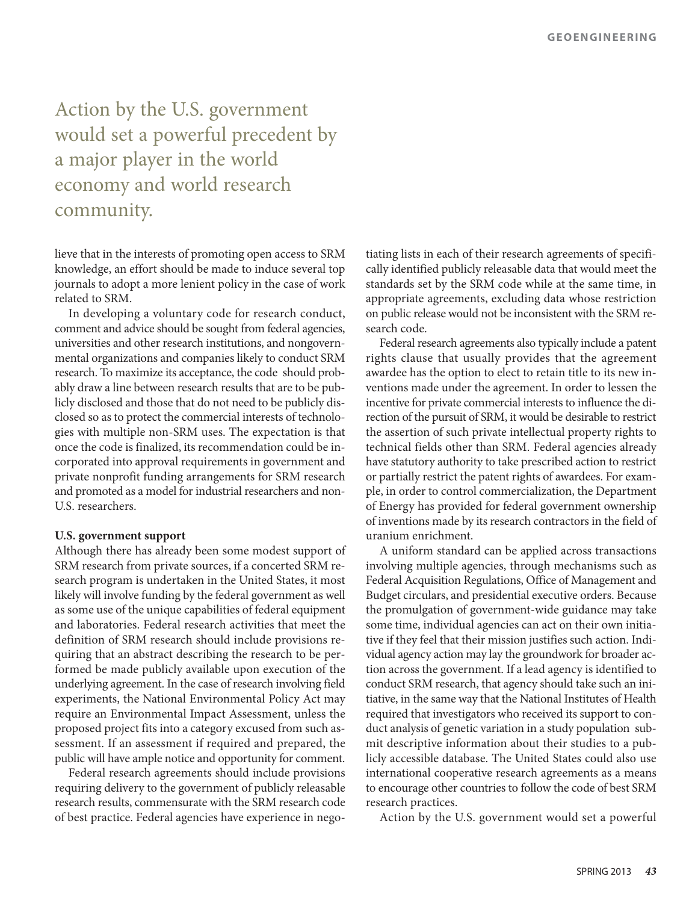## Action by the U.S. government would set a powerful precedent by a major player in the world economy and world research community.

lieve that in the interests of promoting open access to SRM knowledge, an effort should be made to induce several top journals to adopt a more lenient policy in the case of work related to SRM.

In developing a voluntary code for research conduct, comment and advice should be sought from federal agencies, universities and other research institutions, and nongovernmental organizations and companies likely to conduct SRM research. To maximize its acceptance, the code should probably draw a line between research results that are to be publicly disclosed and those that do not need to be publicly disclosed so as to protect the commercial interests of technologies with multiple non-SRM uses. The expectation is that once the code is finalized, its recommendation could be incorporated into approval requirements in government and private nonprofit funding arrangements for SRM research and promoted as a model for industrial researchers and non-U.S. researchers.

#### **U.S. government support**

Although there has already been some modest support of SRM research from private sources, if a concerted SRM research program is undertaken in the United States, it most likely will involve funding by the federal government as well as some use of the unique capabilities of federal equipment and laboratories. Federal research activities that meet the definition of SRM research should include provisions requiring that an abstract describing the research to be performed be made publicly available upon execution of the underlying agreement. In the case of research involving field experiments, the National Environmental Policy Act may require an Environmental Impact Assessment, unless the proposed project fits into a category excused from such assessment. If an assessment if required and prepared, the public will have ample notice and opportunity for comment.

Federal research agreements should include provisions requiring delivery to the government of publicly releasable research results, commensurate with the SRM research code of best practice. Federal agencies have experience in nego-

tiating lists in each of their research agreements of specifically identified publicly releasable data that would meet the standards set by the SRM code while at the same time, in appropriate agreements, excluding data whose restriction on public release would not be inconsistent with the SRM research code.

Federal research agreements also typically include a patent rights clause that usually provides that the agreement awardee has the option to elect to retain title to its new inventions made under the agreement. In order to lessen the incentive for private commercial interests to influence the direction of the pursuit of SRM, it would be desirable to restrict the assertion of such private intellectual property rights to technical fields other than SRM. Federal agencies already have statutory authority to take prescribed action to restrict or partially restrict the patent rights of awardees. For example, in order to control commercialization, the Department of Energy has provided for federal government ownership of inventions made by its research contractors in the field of uranium enrichment.

A uniform standard can be applied across transactions involving multiple agencies, through mechanisms such as Federal Acquisition Regulations, Office of Management and Budget circulars, and presidential executive orders. Because the promulgation of government-wide guidance may take some time, individual agencies can act on their own initiative if they feel that their mission justifies such action. Individual agency action may lay the groundwork for broader action across the government. If a lead agency is identified to conduct SRM research, that agency should take such an initiative, in the same way that the National Institutes of Health required that investigators who received its support to conduct analysis of genetic variation in a study population submit descriptive information about their studies to a publicly accessible database. The United States could also use international cooperative research agreements as a means to encourage other countries to follow the code of best SRM research practices.

Action by the U.S. government would set a powerful